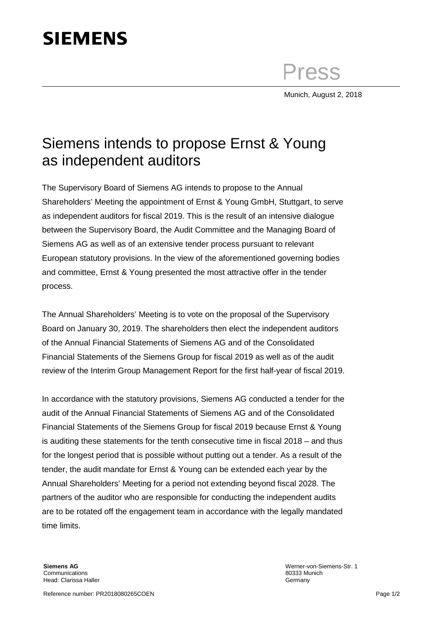## **SIEMENS**

Press

Munich, August 2, 2018

## Siemens intends to propose Ernst & Young as independent auditors

The Supervisory Board of Siemens AG intends to propose to the Annual Shareholders' Meeting the appointment of Ernst & Young GmbH, Stuttgart, to serve as independent auditors for fiscal 2019. This is the result of an intensive dialogue between the Supervisory Board, the Audit Committee and the Managing Board of Siemens AG as well as of an extensive tender process pursuant to relevant European statutory provisions. In the view of the aforementioned governing bodies and committee, Ernst & Young presented the most attractive offer in the tender process.

The Annual Shareholders' Meeting is to vote on the proposal of the Supervisory Board on January 30, 2019. The shareholders then elect the independent auditors of the Annual Financial Statements of Siemens AG and of the Consolidated Financial Statements of the Siemens Group for fiscal 2019 as well as of the audit review of the Interim Group Management Report for the first half-year of fiscal 2019.

In accordance with the statutory provisions, Siemens AG conducted a tender for the audit of the Annual Financial Statements of Siemens AG and of the Consolidated Financial Statements of the Siemens Group for fiscal 2019 because Ernst & Young is auditing these statements for the tenth consecutive time in fiscal 2018 – and thus for the longest period that is possible without putting out a tender. As a result of the tender, the audit mandate for Ernst & Young can be extended each year by the Annual Shareholders' Meeting for a period not extending beyond fiscal 2028. The partners of the auditor who are responsible for conducting the independent audits are to be rotated off the engagement team in accordance with the legally mandated time limits.